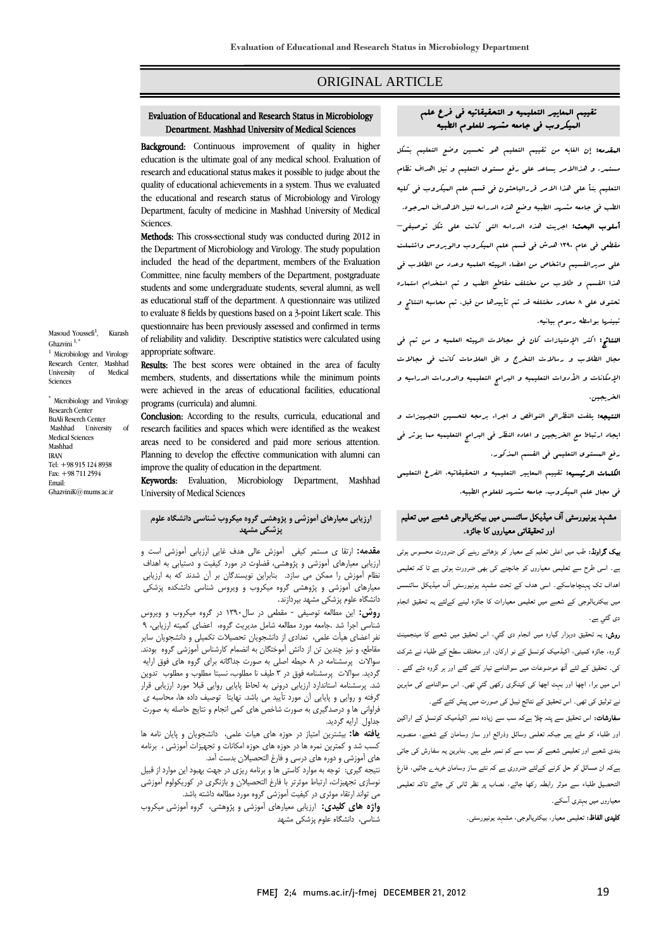## ORIGINAL ARTICLE

#### م البعليبير التعليبية في العلوم العلوم مشهد جامعه المسلمين العلمي العلمي العلمي العلمي العلمي العلمي المسلم في<br>البيكروب في جامعه مش*هد* للعلوم الطبيه Department Mashhad University of Medical Sciences Department, Mashhad University of Medical Sciences

Ī  $\overline{a}$ 

 Background: Continuous improvement of quality in higher **EXALUATE:** COMMOULT EXPLOYED TO GRANGE THE USE COMMOULT EVALUATION SCHOOL. EVALUATION Of research and educational status makes it possible to judge about the quality of educational achievements in a system. Thus we evaluated the educational and research status of Microbiology and Virology Department, faculty of medicine in Mashhad University of Medical Sciences.

Methods: This cross-sectional study was conducted during 2012 in the Department of Microbiology and Virology. The study population included the head of the department, members of the Evaluation students and some undergraduate students, several alumni, as well as educational staff of the department. A questionnaire was utilized to evaluate 8 fields by questions based on a 3-point Likert scale. This of reliability and validity. Descriptive statistics were calculated using Committee, nine faculty members of the Department, postgraduate questionnaire has been previously assessed and confirmed in terms appropriate software.

Results: The best scores were obtained in the area of faculty members, students, and dissertations while the minimum points were achieved in the areas of educational facilities, educational<br>programs (curricula) and alumni programs (curricula) and alumni.

Conclusion: According to the results, curricula, educational and research facilities and spaces which were identified as the weakest Planning to develop the effective communication with alumni can improve the quality of education in the department. areas need to be considered and paid more serious attention.

 Keywords: Evaluation, Microbiology Department, Mashhad University of Medical Sciences

#### j **ارزيابي معيارهاي آموزشي و پژوهشي گروه ميكروب شناسي دانشگاه علوم پزشكي مشهد**

 **مقدمه:** ارتقا ي مستمر كيفي آموزش عالي هدف غايي ارزيابي آموزشي است و ارزيابي معيارهاي آموزشي و پژوهشي، قضاوت در مورد كيفيت و دستيابي به اهداف نظام آموزش را ممكن مي سازد. بنابراين نويسندگان بر آن شدند كه به ارزيابي سيبرڪي مورسي و پروسسي مروم<br>دانشگاه علوم پزشكي مشهد بپردازند. معيارهاي آموزشي و پژوهشي گروه ميكروب و ويروس شناسي دانشكده پزشكي

 **روش:** اين مطالعه توصيفي - مقطعي در سال1390 در گروه ميكروب و ويروس شناسي اجرا شد .جامعه مورد مطالعه شامل مديريت گروه، اعضاي كميته ارزيابي، 9 مر احسی میت حسی، مدادی از دانستوین تاحسیات تحسیق و دانستوین سایر<br>مقاطع، و نیز چندین تن از دانش آموختگان به انضمام کارشناس آموزشی گروه بودند. سوالات پرسشنامه در 8 حيطه اصلي به صورت جداگانه براي گروه هاي فوق ارايه گرديد. سوالات پرسشنامه فوق در 3 طيف نا مطلوب، نسبتا مطلوب و مطلوب تدوين گرفته و روايي و پايايي آن مورد تأييد مي باشد. نهايتا توصيف داده ها، محاسبه ي فراواني ها و درصدگيري به صورت شاخص هاي كمي انجام و نتايج حاصله به صورت نفر اعضاي هيأت علمي، تعدادي از دانشجويان تحصيلات تكميلي و دانشجويان ساير شد. پرسشنامه استاندارد ارزيابي دروني به لحاظ پايايي روايي قبلا مورد ارزيابي قرار جداول ارايه گرديد.

جداول ارايه درديد.<br>**يافته ها:** بيشترين امتياز در حوزه هاي هيات علمي، دانشجويان و پايان نامه ها ..<br>كسب شد و كمترين نمره ها در حوزه هاي حوزه امكانات و تجهيزات آموزشي ، برنامه هاي آموزشي و دوره هاي درسي و فارغ التحصيلان بدست آمد.

 نتيجه گيري: توجه به موارد كاستي ها و برنامه ريزي در جهت بهبود اين موارد از قبيل مي تواند ارتقاء موثري در كيفيت آموزشي گروه مورد مطالعه داشته باشد. نوسازي تجهيزات، ارتباط موثرتر با فارغ التحصيلان و بازنگري در كوريكولوم آموزشي

 **واژه هاي كليدي:** ارزيابي معيارهاي آموزشي و پژوهشي، گروه آموزشي ميكروب شناسي، دانشگاه علوم پزشكي مشهد

# تقييم المعايير التعليميه و التحقيقاتيه في فرع علم الْبيكروب فى جامعه مشـهد للعلوم الطبيه

Ī  $\overline{a}$ 

 المقدمه: إن الغايه من تقييم التعليم هو تحسين وضع التعليم بشكل مستمر. و هذاالامر يساعد علي رفع مستوي التعليم و نيل اهداف نظام التعليم بنأ علي هذا الامر قررالباحثون في قسم علم الميكروب في كليه الطب في جامعه مشهد الطبيه وضع هذه الدراسه لنيل الاهداف المرجوه. أسلوب البحث: اجريت هذه الدراسه التي كانت علي شكل توصيفي– Ī مقطعي في عام 1390 هدش في قسم علم الميكروب والويروس واشتملت علي مديرالقسيم واشخاص من اعضاء الهيئه العلميه وعدد من الطلاب في هذا القسم و طلاب من مختلف مقاطع الطب و تم استخدام استماره تحتوي علي 8 محاور مختلفه قد تم تأييدها من قبل. تم محاسبه النتائج و تبينها بواسطه رسوم بيانيه.

.<br>الن**تائج:** اكثر الإمتيازات كان ف<sub>ى</sub> مجالات الهيئه العلميه و من ثم ف<sub>ى</sub> j مجال الطلاب و رسالات التخرج و اقل العلامات كانت في مجالات الإمكانات و الأدوات التعليميه و البرامج التعليميه والدورات الدراسيه و الخريجين.

ا**لنتيجه:** يلفت النظرال<sub>ى</sub> النواقص و اجراء برمجه لتحسين التج*هي*زات و ايجاد ارتباط مع الخريجين و اعاده النظر في البرامج التعليميه مما يوثر في رفع المستوي التعليمي في القسم المذكور. l.

ا**لكلمات الرئيسيه:** تقييم البعايير التعليميه و التحقيقاتيه، الفرع التعليم<mark>ي</mark><br>. في مجال علم الميكروب، جامعه مشهد للعلوم الطبيه.

## مشہد یونیورسٹی آف میڈیکل سائنسس میں بیکٹریالوجی شعبے میں تعلیم اور تحقیقاتی معیاروں کا جائزہ۔

 بیک گراونڈ: طب میں اعلی تعلیم کے معیار کو بڑھاتے رہنے کی ضرورت محسوس ہوتی ہے۔ اسی طرح سے تعلیمی معیاروں کو جانچنے کی بھی ضرورت ہوتی ہے تا کہ تعلیمی اھداف تک پہنچاجاسکے۔ اسی ھدف کے تحت مشہد یونیورسٹی آف میڈیکل سائنسس میں بیکٹریالوجی کے شعبے میں تعلیمی معیارات کا جائزہ لینے کےلئے یہ تحقیق انجام دی گئي ہے۔

۔<br>ر**وش:** یہ تحقیق دوہزار گیارہ میں انجام دی گئي، اس تحقیق میں شعبے کا مینجمینٹ گروہ، جائزہ کمیٹی، اکیڈمیک کونسل کے نو ارکان، اور مختلف سطح کے طلباء نے شرکت کی۔ تحقیق کے لئے آٹھ موضوعات میں سوالنامے تیار کئے گئے اور ہر گروہ دئے گئے ۔ اس میں برا، اچھا اور بہت اچھا کی کیٹگری رکھی گئي تھی۔ اس سوالنامے کی ماہرین نے توثیق کی تھی۔ اس تحقیق کے نتائج ٹیبل کی صورت میں پیش کئے گئے۔

ے کرنات کی ڈمی اس سے سے سے بنات کی حرکت سی ہی جائے گا۔<br>**سفارشات:** اس تحقیق سے پتہ چلا ہےکہ سب سے زیادہ نمبر اکیڈمیک کونسل کے اراکین ۔۔۔و۔۔۔۔ ان ملی سے پہلا ہے کہ انہ سے صحیح کی ملک ہے ۔<br>اور طلباء کو ملے ہیں جبکہ تعلمی وسائل وذرائع اور ساز وسامان کے شعبے، منصوبہ بندی شعبے اور تعلیمی شعبے کو سب سے کم نمبر ملے ہیں۔ بنابرین یہ سفارش کی جاتی<br>بندی شعبے اور تعلیمی شعبے کو سب سے کم نمبر ملے ہیں۔ بنابرین یہ سفارش کی جاتی ہیں ہے کہ ان مسائل کو حل کرنے کے لئے ضروری ہے کہ نئے ہیں۔ بتہ بہتی یہ سندرس ہی جسی<br>ےکہ ان مسائل کو حل کرنے کےلئے ضروری ہے کہ نئے ساز وسامان خریدے جائیں، فارغ ے۔ اس سے موسی طلب سے سے سرروی ہے ۔ اسے سار راست میں اس بیس سے<br>التحصیل طلباء سے موثر رابطہ رکھا جائے، نصاب پر نظر ثانی کی جائے تاکہ تعلیمی معیاروں میں بہتری آسکے۔ Ī

**کلیدی الفاظ:** تعلیمی معیار، بیکٹریالوجی، مشہد یونیورسٹی۔<br>۔

 $G$ hazvini $<sup>1</sup>$ </sup> <sup>1</sup> Microbiology and Virology Research Center, Mashhad University of Medical Sciences

Masoud Youssefi<sup>1</sup>, Kiarash

\* Microbiology and Virology Research Center BuAli Reserch Center Mashhad University of Medical Sciences Mashhad IRAN Tel: +98 915 124 8938 Fax: +98 711 2594 Email: GhazviniK@mums.ac.ir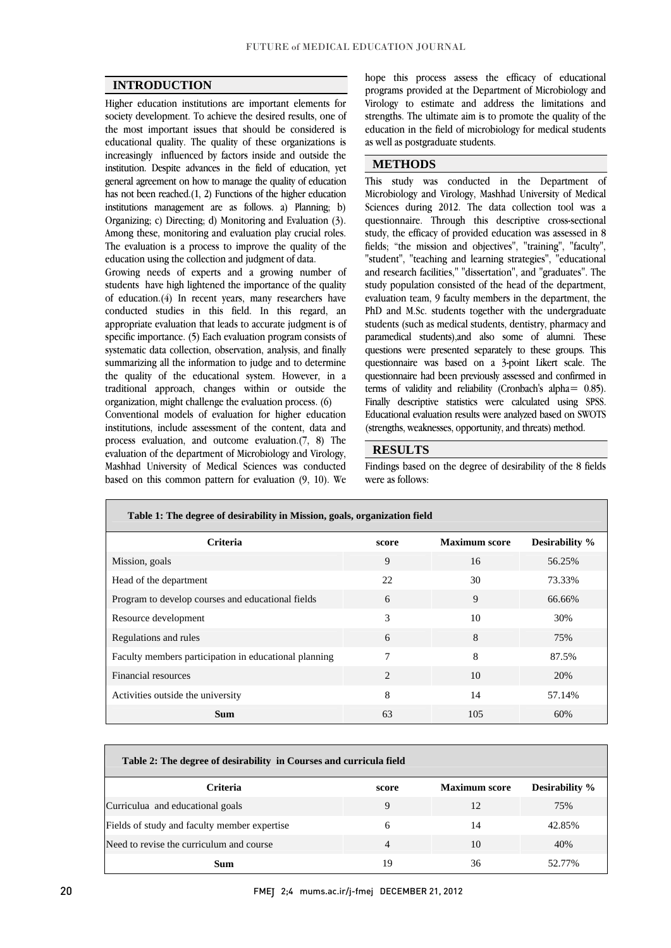$\overline{a}$ 

## **INTRODUCTION**

 Higher education institutions are important elements for society development. To achieve the desired results, one of educational quality. The quality of these organizations is increasingly influenced by factors inside and outside the institution. Despite advances in the field of education, yet general agreement on how to manage the quality of education institutions management are as follows. a) Planning; b) Organizing; c) Directing; d) Monitoring and Evaluation (3). Among these, monitoring and evaluation play crucial roles. The evaluation is a process to improve the quality of the the most important issues that should be considered is has not been reached.(1, 2) Functions of the higher education education using the collection and judgment of data.

Growing needs of experts and a growing number of students have high lightened the importance of the quality of education.(4) In recent years, many researchers have conducted studies in this field. In this regard, an specific importance. (5) Each evaluation program consists of systematic data collection, observation, analysis, and finally summarizing all the information to judge and to determine traditional approach, changes within or outside the appropriate evaluation that leads to accurate judgment is of the quality of the educational system. However, in a organization, might challenge the evaluation process. (6)

 Conventional models of evaluation for higher education institutions, include assessment of the content, data and  $\mu$ Process evaluation, and outcome evaluation. $(v, 0)$  The evaluation of the department of Microbiology and Virology, Mashhad University of Medical Sciences was conducted based on this common pattern for evaluation (9, 10). We process evaluation, and outcome evaluation.(7, 8) The

 programs provided at the Department of Microbiology and Virology to estimate and address the limitations and strengths. The ultimate aim is to promote the quality of the education in the field of microbiology for medical students<br>as well as postoraduate students hope this process assess the efficacy of educational as well as postgraduate students.

 $\overline{a}$ 

l

 $\overline{a}$ 

#### **METHODS**

 $\overline{a}$  Microbiology and Virology, Mashhad University of Medical Sciences during 2012. The data collection tool was a questionnaire. Through this descriptive cross-sectional study, the efficacy of provided education was assessed in 8 neids; the mission and objectives, training, factify,<br>"student", "teaching and learning strategies", "educational and research facilities," "dissertation", and "graduates". The study population consisted of the head of the department, evaluation team, 9 faculty members in the department, the students (such as medical students, dentistry, pharmacy and paramedical students),and also some of alumni. These questions were presented separately to these groups. This questionnaire was based on a 3-point Likert scale. The terms of validity and reliability (Cronbach's alpha= 0.85). Finally descriptive statistics were calculated using SPSS. Educational evaluation results were analyzed based on SWOTS This study was conducted in the Department of fields; "the mission and objectives", "training", "faculty", PhD and M.Sc. students together with the undergraduate questionnaire had been previously assessed and confirmed in (strengths, weaknesses, opportunity, and threats) method.

### **RESULTS**

 Findings based on the degree of desirability of the 8 fields were as follows:

| Table 1: The degree of desirability in Mission, goals, organization field |       |                      |                |
|---------------------------------------------------------------------------|-------|----------------------|----------------|
| <b>Criteria</b>                                                           | score | <b>Maximum</b> score | Desirability % |
| Mission, goals                                                            | 9     | 16                   | 56.25%         |
| Head of the department                                                    | 22    | 30                   | 73.33%         |
| Program to develop courses and educational fields                         | 6     | 9                    | 66.66%         |
| Resource development                                                      | 3     | 10                   | 30%            |
| Regulations and rules                                                     | 6     | 8                    | 75%            |
| Faculty members participation in educational planning                     | 7     | 8                    | 87.5%          |
| Financial resources                                                       | 2     | 10                   | 20%            |
| Activities outside the university                                         | 8     | 14                   | 57.14%         |
| Sum.                                                                      | 63    | 105                  | 60%            |

L

| Table 2: The degree of desirability in Courses and curricula field |       |                      |                       |
|--------------------------------------------------------------------|-------|----------------------|-----------------------|
| <b>Criteria</b>                                                    | score | <b>Maximum score</b> | <b>Desirability</b> % |
| Curriculua and educational goals                                   | 9     | 12                   | 75%                   |
| Fields of study and faculty member expertise                       | 6     | 14                   | 42.85%                |
| Need to revise the curriculum and course                           | 4     | 10                   | 40%                   |
| Sum                                                                | 19    | 36                   | 77%                   |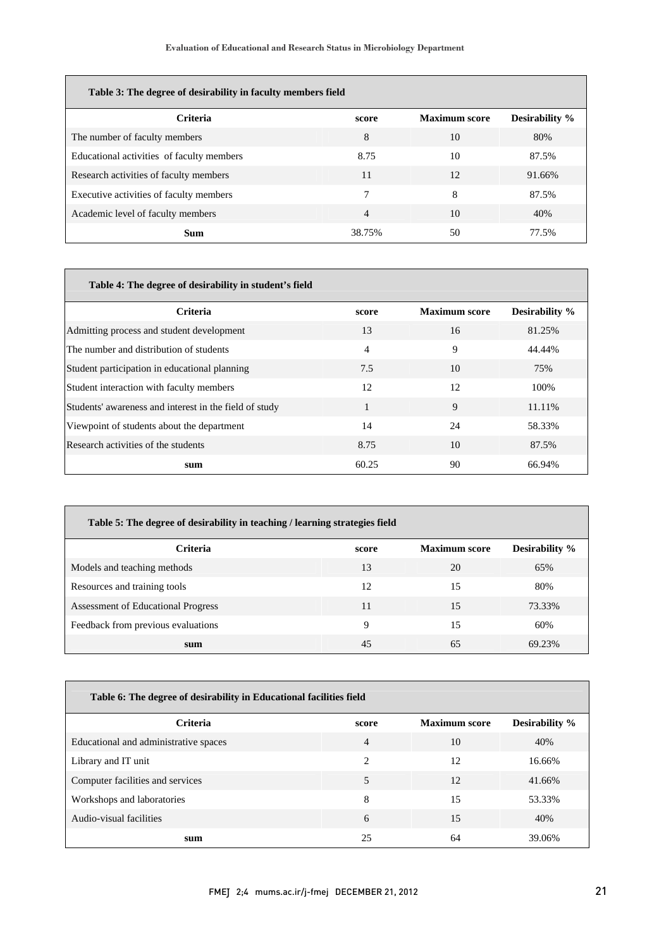| Table 3: The degree of desirability in faculty members field |                |                      |                       |
|--------------------------------------------------------------|----------------|----------------------|-----------------------|
|                                                              |                |                      |                       |
| <b>Criteria</b>                                              | score          | <b>Maximum</b> score | <b>Desirability</b> % |
| The number of faculty members                                | 8              | 10                   | 80%                   |
| Educational activities of faculty members                    | 8.75           | 10                   | 87.5%                 |
| Research activities of faculty members                       | 11             | 12                   | 91.66%                |
| Executive activities of faculty members                      | 7              | 8                    | 87.5%                 |
| Academic level of faculty members                            | $\overline{4}$ | 10                   | 40%                   |
| Sum                                                          | 38.75%         | 50                   | 77.5%                 |

| Table 4: The degree of desirability in student's field |                |                      |                       |
|--------------------------------------------------------|----------------|----------------------|-----------------------|
|                                                        |                |                      |                       |
| Criteria                                               | score          | <b>Maximum</b> score | <b>Desirability</b> % |
| Admitting process and student development              | 13             | 16                   | 81.25%                |
| The number and distribution of students                | $\overline{4}$ | 9                    | 44.44%                |
| Student participation in educational planning          | 7.5            | 10                   | 75%                   |
| Student interaction with faculty members               | 12             | 12                   | 100\%                 |
| Students' awareness and interest in the field of study |                | 9                    | 11.11%                |
| Viewpoint of students about the department             | 14             | 24                   | 58.33%                |
| Research activities of the students                    | 8.75           | 10                   | 87.5%                 |
| sum                                                    | 60.25          | 90                   | 66.94%                |

| Table 5: The degree of desirability in teaching / learning strategies field |       |                      |                       |
|-----------------------------------------------------------------------------|-------|----------------------|-----------------------|
| Criteria                                                                    | score | <b>Maximum</b> score | <b>Desirability</b> % |
| Models and teaching methods                                                 | 13    | 20                   | 65%                   |
| Resources and training tools                                                | 12    | 15                   | 80%                   |
| Assessment of Educational Progress                                          | 11    | 15                   | 73.33%                |
| Feedback from previous evaluations                                          | 9     | 15                   | 60%                   |
| sum                                                                         | 45    | 65                   | 69.23%                |

l

| Table 6: The degree of desirability in Educational facilities field |       |                      |                       |
|---------------------------------------------------------------------|-------|----------------------|-----------------------|
| Criteria                                                            | score | <b>Maximum</b> score | <b>Desirability</b> % |
| Educational and administrative spaces                               | 4     | 10                   | 40%                   |
| Library and IT unit                                                 | 2     | 12                   | 16.66%                |
| Computer facilities and services                                    | 5     | 12                   | 41.66%                |
| Workshops and laboratories                                          | 8     | 15                   | 53.33%                |
| Audio-visual facilities                                             | 6     | 15                   | 40%                   |
| sum                                                                 | 25    | 64                   | 39.06%                |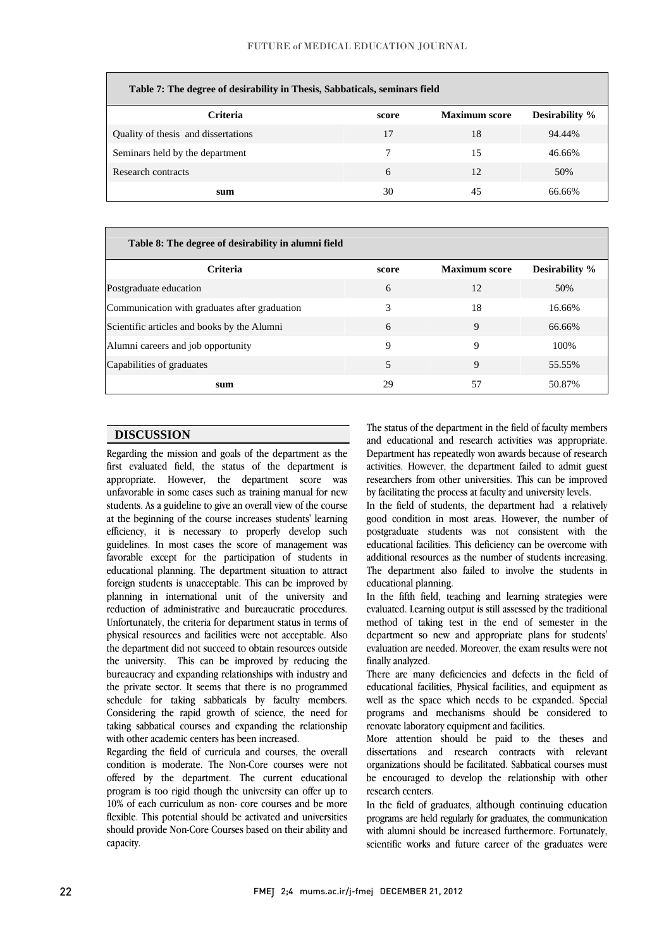| Table 7: The degree of desirability in Thesis, Sabbaticals, seminars field |       |                      |                       |
|----------------------------------------------------------------------------|-------|----------------------|-----------------------|
| <b>Criteria</b>                                                            | score | <b>Maximum</b> score | <b>Desirability</b> % |
| Quality of thesis and dissertations                                        | 17    | 18                   | 94.44%                |
| Seminars held by the department                                            | 7     | 15                   | 46.66%                |
| Research contracts                                                         | 6     | 12                   | 50%                   |
| sum                                                                        | 30    | 45                   | 66.66%                |

| Table 8: The degree of desirability in alumni field |       |                      |                |
|-----------------------------------------------------|-------|----------------------|----------------|
| <b>Criteria</b>                                     | score | <b>Maximum</b> score | Desirability % |
| Postgraduate education                              | 6     | 12                   | 50%            |
| Communication with graduates after graduation       | 3     | 18                   | 16.66%         |
| Scientific articles and books by the Alumni         | 6     | 9                    | 66.66%         |
| Alumni careers and job opportunity                  | 9     | 9                    | 100\%          |
| Capabilities of graduates                           | 5     | 9                    | 55.55%         |
| sum                                                 | 29    | 57                   | 50.87%         |

Ξ

## **DISCUSSION**

**Regarding the mission and goals of the department as the**  first evaluated field, the status of the department is appropriate. However, the department score was unfavorable in some cases such as training manual for new at the beginning of the course increases students' learning efficiency, it is necessary to properly develop such guidelines. In most cases the score of management was favorable except for the participation of students in planning in international unit of the university and reduction of administrative and bureaucratic procedures. physical resources and facilities were not acceptable. Also the department did not succeed to obtain resources outside the university. This can be improved by reducing the bureaucracy and expanding relationships with industry and schedule for taking sabbaticals by faculty members. Considering the rapid growth of science, the need for taking sabbatical courses and expanding the relationship students. As a guideline to give an overall view of the course educational planning. The department situation to attract foreign students is unacceptable. This can be improved by Unfortunately, the criteria for department status in terms of the private sector. It seems that there is no programmed with other academic centers has been increased.

with other academic centers has been increased.<br>Regarding the field of curricula and courses, the overall condition is moderate. The Non-Core courses were not offered by the department. The current educational program is too rigid though the university can offer up to  $10\%$  of each curriculum as non- core courses and be more should provide Non-Core Courses based on their ability and flexible. This potential should be activated and universities capacity.

 The status of the department in the field of faculty members Department has repeatedly won awards because of research activities. However, the department failed to admit guest researchers from other universities. This can be improved and educational and research activities was appropriate. by facilitating the process at faculty and university levels.

by racuitating the process at racuity and university levels.<br>In the field of students, the department had a relatively good condition in most areas. However, the number of postgraduate students was not consistent with the educational facilities. This deficiency can be overcome with additional resources as the number of students increasing. The department also failed to involve the students in educational planning educational planning.

 In the fifth field, teaching and learning strategies were evaluated. Learning output is still assessed by the traditional method of taking test in the end of semester in the<br>department so new and appropriate plans for students evaluation are needed. Moreover, the exam results were not method of taking test in the end of semester in the finally analyzed.

 There are many deficiencies and defects in the field of well as the space which needs to be expanded. Special programs and mechanisms should be considered to educational facilities, Physical facilities, and equipment as renovate laboratory equipment and facilities.

 More attention should be paid to the theses and organizations should be facilitated. Sabbatical courses must be encouraged to develop the relationship with other dissertations and research contracts with relevant research centers.

 In the field of graduates, although continuing education programs are netting alumni should be increased furthermore. Fortunately, scientific works and future career of the graduates were programs are held regularly for graduates, the communication